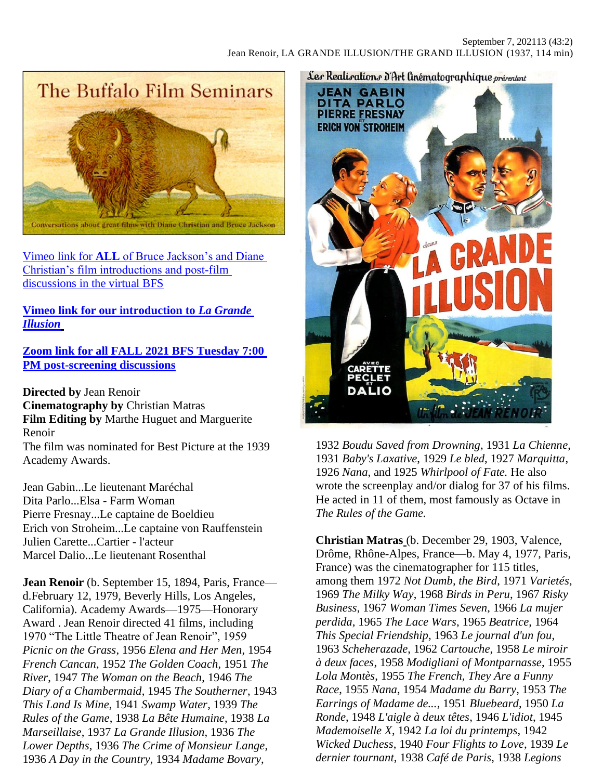

Vimeo link for **ALL** [of Bruce Jackson's and Diane](https://vimeo.com/user80710589)  [Christian's film introductions and post-film](https://vimeo.com/user80710589)  [discussions in the virtual BFS](https://vimeo.com/user80710589)

**[Vimeo link for our introduction to](https://vimeo.com/597945278)** *La Grande [Illusion](https://vimeo.com/597945278)*

**[Zoom link for all FALL 2021 BFS Tuesday 7:00](https://buffalo.zoom.us/j/92561696846?pwd=Slc3Ym1yNUp2WkJRV3N5UmpDS0NSdz09)  [PM post-screening discussions](https://buffalo.zoom.us/j/92561696846?pwd=Slc3Ym1yNUp2WkJRV3N5UmpDS0NSdz09)**

**Directed by** Jean Renoir **Cinematography by** Christian Matras **Film Editing by** Marthe Huguet and Marguerite Renoir The film was nominated for Best Picture at the 1939 Academy Awards.

Jean Gabin...Le lieutenant Maréchal Dita Parlo...Elsa - Farm Woman Pierre Fresnay...Le captaine de Boeldieu Erich von Stroheim...Le captaine von Rauffenstein Julien Carette...Cartier - l'acteur Marcel Dalio...Le lieutenant Rosenthal

**Jean Renoir** (b. September 15, 1894, Paris, France d.February 12, 1979, Beverly Hills, Los Angeles, California). Academy Awards—1975—Honorary Award . Jean Renoir directed 41 films, including 1970 "The Little Theatre of Jean Renoir", 1959 *Picnic on the Grass*, 1956 *Elena and Her Men*, 1954 *French Cancan*, 1952 *The Golden Coach*, 1951 *The River*, 1947 *The Woman on the Beach*, 1946 *The Diary of a Chambermaid*, 1945 *The Southerner*, 1943 *This Land Is Mine*, 1941 *Swamp Water*, 1939 *The Rules of the Game*, 1938 *La Bête Humaine*, 1938 *La Marseillaise*, 1937 *La Grande Illusion*, 1936 *The Lower Depths*, 1936 *The Crime of Monsieur Lange*, 1936 *A Day in the Country*, 1934 *Madame Bovary*,

Les Realisations d'Art linématographique présentent



1932 *Boudu Saved from Drowning*, 1931 *La Chienne*, 1931 *Baby's Laxative*, 1929 *Le bled*, 1927 *Marquitta*, 1926 *Nana*, and 1925 *Whirlpool of Fate.* He also wrote the screenplay and/or dialog for 37 of his films. He acted in 11 of them, most famously as Octave in *The Rules of the Game.*

**Christian Matras** (b. December 29, 1903, Valence, Drôme, Rhône-Alpes, France—b. May 4, 1977, Paris, France) was the cinematographer for 115 titles, among them 1972 *Not Dumb, the Bird*, 1971 *Varietés*, 1969 *The Milky Way*, 1968 *Birds in Peru*, 1967 *Risky Business*, 1967 *Woman Times Seven*, 1966 *La mujer perdida*, 1965 *The Lace Wars*, 1965 *Beatrice*, 1964 *This Special Friendship*, 1963 *Le journal d'un fou*, 1963 *Scheherazade*, 1962 *Cartouche*, 1958 *Le miroir à deux faces*, 1958 *Modigliani of Montparnasse*, 1955 *Lola Montès*, 1955 *The French, They Are a Funny Race*, 1955 *Nana*, 1954 *Madame du Barry*, 1953 *The Earrings of Madame de...*, 1951 *Bluebeard*, 1950 *La Ronde*, 1948 *L'aigle à deux têtes*, 1946 *L'idiot*, 1945 *Mademoiselle X*, 1942 *La loi du printemps*, 1942 *Wicked Duchess*, 1940 *Four Flights to Love*, 1939 *Le dernier tournant*, 1938 *Café de Paris*, 1938 *Legions*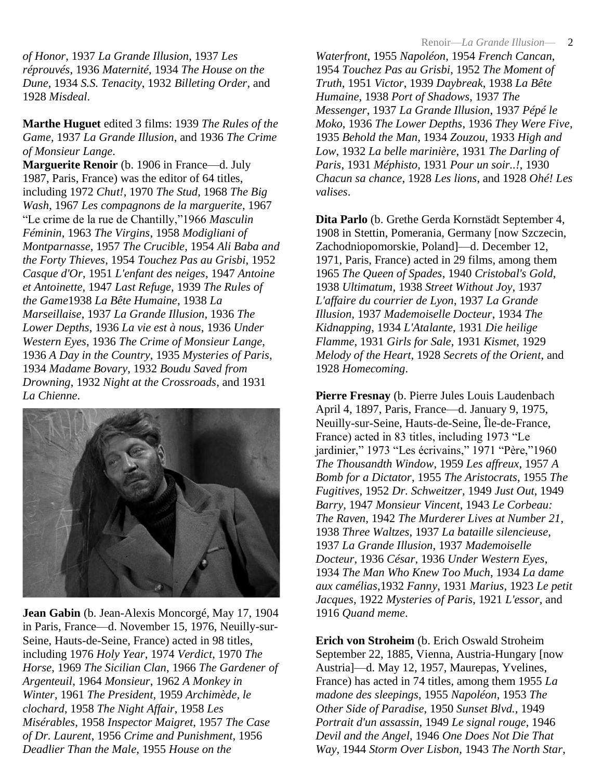*of Honor*, 1937 *La Grande Illusion*, 1937 *Les réprouvés*, 1936 *Maternité*, 1934 *The House on the Dune*, 1934 *S.S. Tenacity*, 1932 *Billeting Order*, and 1928 *Misdeal*.

**Marthe Huguet** edited 3 films: 1939 *The Rules of the Game*, 1937 *La Grande Illusion*, and 1936 *The Crime of Monsieur Lange*.

**Marguerite Renoir** (b. 1906 in France—d. July 1987, Paris, France) was the editor of 64 titles, including 1972 *Chut!*, 1970 *The Stud*, 1968 *The Big Wash*, 1967 *Les compagnons de la marguerite*, 1967 "Le crime de la rue de Chantilly,"1966 *Masculin Féminin*, 1963 *The Virgins*, 1958 *Modigliani of Montparnasse*, 1957 *The Crucible*, 1954 *Ali Baba and the Forty Thieves*, 1954 *Touchez Pas au Grisbi*, 1952 *Casque d'Or*, 1951 *L'enfant des neiges*, 1947 *Antoine et Antoinette*, 1947 *Last Refuge*, 1939 *The Rules of the Game*1938 *La Bête Humaine*, 1938 *La Marseillaise*, 1937 *La Grande Illusion*, 1936 *The Lower Depths*, 1936 *La vie est à nous*, 1936 *Under Western Eyes*, 1936 *The Crime of Monsieur Lange*, 1936 *A Day in the Country*, 1935 *Mysteries of Paris*, 1934 *Madame Bovary*, 1932 *Boudu Saved from Drowning*, 1932 *Night at the Crossroads*, and 1931 *La Chienne*.



**Jean Gabin** (b. Jean-Alexis Moncorgé, May 17, 1904 in Paris, France—d. November 15, 1976, Neuilly-sur-Seine, Hauts-de-Seine, France) acted in 98 titles, including 1976 *Holy Year*, 1974 *Verdict*, 1970 *The Horse*, 1969 *The Sicilian Clan*, 1966 *The Gardener of Argenteuil*, 1964 *Monsieur*, 1962 *A Monkey in Winter*, 1961 *The President*, 1959 *Archimède, le clochard*, 1958 *The Night Affair*, 1958 *Les Misérables*, 1958 *Inspector Maigret*, 1957 *The Case of Dr. Laurent*, 1956 *Crime and Punishment*, 1956 *Deadlier Than the Male*, 1955 *House on the* 

*Waterfront*, 1955 *Napoléon*, 1954 *French Cancan*, 1954 *Touchez Pas au Grisbi*, 1952 *The Moment of Truth*, 1951 *Victor*, 1939 *Daybreak*, 1938 *La Bête Humaine*, 1938 *Port of Shadows*, 1937 *The Messenger*, 1937 *La Grande Illusion*, 1937 *Pépé le Moko*, 1936 *The Lower Depths*, 1936 *They Were Five*, 1935 *Behold the Man*, 1934 *Zouzou*, 1933 *High and Low*, 1932 *La belle marinière*, 1931 *The Darling of Paris*, 1931 *Méphisto*, 1931 *Pour un soir..!*, 1930 *Chacun sa chance*, 1928 *Les lions*, and 1928 *Ohé! Les valises*.

**Dita Parlo** (b. Grethe Gerda Kornstädt September 4, 1908 in Stettin, Pomerania, Germany [now Szczecin, Zachodniopomorskie, Poland]—d. December 12, 1971, Paris, France) acted in 29 films, among them 1965 *The Queen of Spades*, 1940 *Cristobal's Gold*, 1938 *Ultimatum*, 1938 *Street Without Joy*, 1937 *L'affaire du courrier de Lyon*, 1937 *La Grande Illusion*, 1937 *Mademoiselle Docteur*, 1934 *The Kidnapping*, 1934 *L'Atalante*, 1931 *Die heilige Flamme*, 1931 *Girls for Sale*, 1931 *Kismet*, 1929 *Melody of the Heart*, 1928 *Secrets of the Orient*, and 1928 *Homecoming*.

**Pierre Fresnay** (b. Pierre Jules Louis Laudenbach April 4, 1897, Paris, France—d. January 9, 1975, Neuilly-sur-Seine, Hauts-de-Seine, Île-de-France, France) acted in 83 titles, including 1973 "Le jardinier," 1973 "Les écrivains," 1971 "Père,"1960 *The Thousandth Window*, 1959 *Les affreux*, 1957 *A Bomb for a Dictator*, 1955 *The Aristocrats*, 1955 *The Fugitives*, 1952 *Dr. Schweitzer*, 1949 *Just Out*, 1949 *Barry*, 1947 *Monsieur Vincent*, 1943 *Le Corbeau: The Raven*, 1942 *The Murderer Lives at Number 21*, 1938 *Three Waltzes*, 1937 *La bataille silencieuse*, 1937 *La Grande Illusion*, 1937 *Mademoiselle Docteur*, 1936 *César*, 1936 *Under Western Eyes*, 1934 *The Man Who Knew Too Much*, 1934 *La dame aux camélias*,1932 *Fanny*, 1931 *Marius*, 1923 *Le petit Jacques*, 1922 *Mysteries of Paris*, 1921 *L'essor*, and 1916 *Quand meme*.

**Erich von Stroheim** (b. Erich Oswald Stroheim September 22, 1885, Vienna, Austria-Hungary [now Austria]—d. May 12, 1957, Maurepas, Yvelines, France) has acted in 74 titles, among them 1955 *La madone des sleepings*, 1955 *Napoléon*, 1953 *The Other Side of Paradise*, 1950 *Sunset Blvd.*, 1949 *Portrait d'un assassin*, 1949 *Le signal rouge*, 1946 *Devil and the Angel*, 1946 *One Does Not Die That Way*, 1944 *Storm Over Lisbon*, 1943 *The North Star*,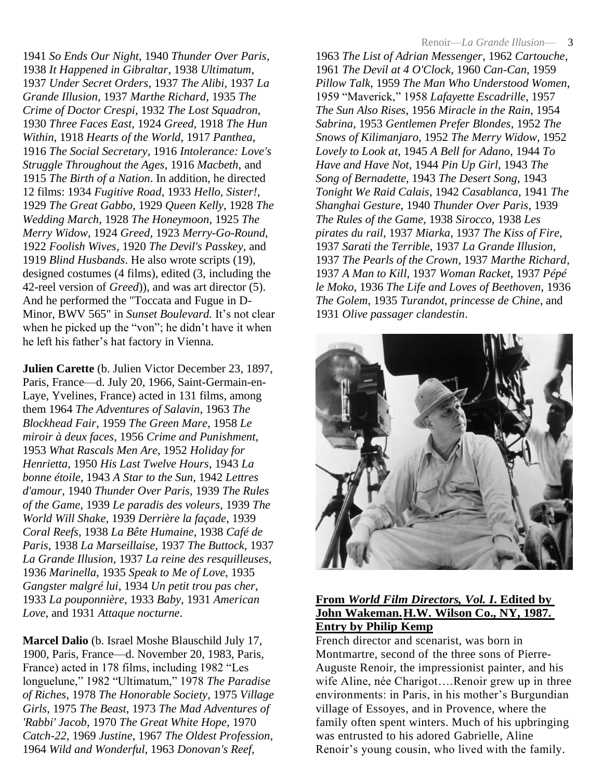1941 *So Ends Our Night*, 1940 *Thunder Over Paris*, 1938 *It Happened in Gibraltar*, 1938 *Ultimatum*, 1937 *Under Secret Orders*, 1937 *The Alibi*, 1937 *La Grande Illusion*, 1937 *Marthe Richard*, 1935 *The Crime of Doctor Crespi*, 1932 *The Lost Squadron*, 1930 *Three Faces East*, 1924 *Greed*, 1918 *The Hun Within*, 1918 *Hearts of the World*, 1917 *Panthea*, 1916 *The Social Secretary*, 1916 *Intolerance: Love's Struggle Throughout the Ages*, 1916 *Macbeth*, and 1915 *The Birth of a Nation*. In addition, he directed 12 films: 1934 *Fugitive Road*, 1933 *Hello, Sister!*, 1929 *The Great Gabbo*, 1929 *Queen Kelly*, 1928 *The Wedding March*, 1928 *The Honeymoon*, 1925 *The Merry Widow*, 1924 *Greed*, 1923 *Merry-Go-Round*, 1922 *Foolish Wives*, 1920 *The Devil's Passkey*, and 1919 *Blind Husbands*. He also wrote scripts (19), designed costumes (4 films), edited (3, including the 42-reel version of *Greed*)), and was art director (5). And he performed the "Toccata and Fugue in D-Minor, BWV 565" in *Sunset Boulevard.* It's not clear when he picked up the "von"; he didn't have it when he left his father's hat factory in Vienna.

**Julien Carette** (b. Julien Victor December 23, 1897, Paris, France—d. July 20, 1966, Saint-Germain-en-Laye, Yvelines, France) acted in 131 films, among them 1964 *The Adventures of Salavin*, 1963 *The Blockhead Fair*, 1959 *The Green Mare*, 1958 *Le miroir à deux faces*, 1956 *Crime and Punishment*, 1953 *What Rascals Men Are*, 1952 *Holiday for Henrietta*, 1950 *His Last Twelve Hours*, 1943 *La bonne étoile*, 1943 *A Star to the Sun*, 1942 *Lettres d'amour*, 1940 *Thunder Over Paris*, 1939 *The Rules of the Game*, 1939 *Le paradis des voleurs*, 1939 *The World Will Shake*, 1939 *Derrière la façade*, 1939 *Coral Reefs*, 1938 *La Bête Humaine*, 1938 *Café de Paris*, 1938 *La Marseillaise*, 1937 *The Buttock*, 1937 *La Grande Illusion*, 1937 *La reine des resquilleuses*, 1936 *Marinella*, 1935 *Speak to Me of Love*, 1935 *Gangster malgré lui*, 1934 *Un petit trou pas cher*, 1933 *La pouponnière*, 1933 *Baby*, 1931 *American Love*, and 1931 *Attaque nocturne*.

**Marcel Dalio** (b. Israel Moshe Blauschild July 17, 1900, Paris, France—d. November 20, 1983, Paris, France) acted in 178 films, including 1982 "Les longuelune," 1982 "Ultimatum," 1978 *The Paradise of Riches*, 1978 *The Honorable Society*, 1975 *Village Girls*, 1975 *The Beast*, 1973 *The Mad Adventures of 'Rabbi' Jacob*, 1970 *The Great White Hope*, 1970 *Catch-22*, 1969 *Justine*, 1967 *The Oldest Profession*, 1964 *Wild and Wonderful*, 1963 *Donovan's Reef*,

1963 *The List of Adrian Messenger*, 1962 *Cartouche*, 1961 *The Devil at 4 O'Clock*, 1960 *Can-Can*, 1959 *Pillow Talk*, 1959 *The Man Who Understood Women*, 1959 "Maverick," 1958 *Lafayette Escadrille*, 1957 *The Sun Also Rises*, 1956 *Miracle in the Rain*, 1954 *Sabrina*, 1953 *Gentlemen Prefer Blondes*, 1952 *The Snows of Kilimanjaro*, 1952 *The Merry Widow*, 1952 *Lovely to Look at*, 1945 *A Bell for Adano*, 1944 *To Have and Have Not*, 1944 *Pin Up Girl*, 1943 *The Song of Bernadette*, 1943 *The Desert Song*, 1943 *Tonight We Raid Calais*, 1942 *Casablanca*, 1941 *The Shanghai Gesture*, 1940 *Thunder Over Paris*, 1939 *The Rules of the Game*, 1938 *Sirocco*, 1938 *Les pirates du rail*, 1937 *Miarka*, 1937 *The Kiss of Fire*, 1937 *Sarati the Terrible*, 1937 *La Grande Illusion*, 1937 *The Pearls of the Crown*, 1937 *Marthe Richard*, 1937 *A Man to Kill*, 1937 *Woman Racket*, 1937 *Pépé le Moko*, 1936 *The Life and Loves of Beethoven*, 1936 *The Golem*, 1935 *Turandot, princesse de Chine*, and 1931 *Olive passager clandestin*.



### **From** *World Film Directors, Vol. I***. Edited by John Wakeman.H.W. Wilson Co., NY, 1987. Entry by Philip Kemp**

French director and scenarist, was born in Montmartre, second of the three sons of Pierre-Auguste Renoir, the impressionist painter, and his wife Aline, née Charigot….Renoir grew up in three environments: in Paris, in his mother's Burgundian village of Essoyes, and in Provence, where the family often spent winters. Much of his upbringing was entrusted to his adored Gabrielle, Aline Renoir's young cousin, who lived with the family.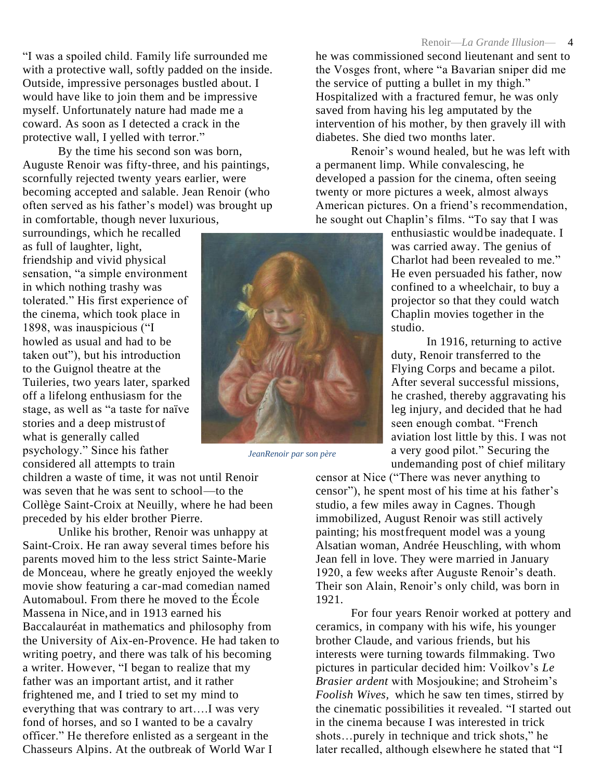"I was a spoiled child. Family life surrounded me with a protective wall, softly padded on the inside. Outside, impressive personages bustled about. I would have like to join them and be impressive myself. Unfortunately nature had made me a coward. As soon as I detected a crack in the protective wall, I yelled with terror."

By the time his second son was born, Auguste Renoir was fifty-three, and his paintings, scornfully rejected twenty years earlier, were becoming accepted and salable. Jean Renoir (who often served as his father's model) was brought up in comfortable, though never luxurious,

surroundings, which he recalled as full of laughter, light, friendship and vivid physical sensation, "a simple environment in which nothing trashy was tolerated." His first experience of the cinema, which took place in 1898, was inauspicious ("I howled as usual and had to be taken out"), but his introduction to the Guignol theatre at the Tuileries, two years later, sparked off a lifelong enthusiasm for the stage, as well as "a taste for naïve stories and a deep mistrust of what is generally called psychology." Since his father considered all attempts to train

children a waste of time, it was not until Renoir was seven that he was sent to school—to the Collège Saint-Croix at Neuilly, where he had been preceded by his elder brother Pierre.

Unlike his brother, Renoir was unhappy at Saint-Croix. He ran away several times before his parents moved him to the less strict Sainte-Marie de Monceau, where he greatly enjoyed the weekly movie show featuring a car-mad comedian named Automaboul. From there he moved to the École Massena in Nice, and in 1913 earned his Baccalauréat in mathematics and philosophy from the University of Aix-en-Provence. He had taken to writing poetry, and there was talk of his becoming a writer. However, "I began to realize that my father was an important artist, and it rather frightened me, and I tried to set my mind to everything that was contrary to art….I was very fond of horses, and so I wanted to be a cavalry officer." He therefore enlisted as a sergeant in the Chasseurs Alpins. At the outbreak of World War I

#### Renoir—*La Grande Illusion*— 4

he was commissioned second lieutenant and sent to the Vosges front, where "a Bavarian sniper did me the service of putting a bullet in my thigh." Hospitalized with a fractured femur, he was only saved from having his leg amputated by the intervention of his mother, by then gravely ill with diabetes. She died two months later.

Renoir's wound healed, but he was left with a permanent limp. While convalescing, he developed a passion for the cinema, often seeing twenty or more pictures a week, almost always American pictures. On a friend's recommendation, he sought out Chaplin's films. "To say that I was

> enthusiastic wouldbe inadequate. I was carried away. The genius of Charlot had been revealed to me." He even persuaded his father, now confined to a wheelchair, to buy a projector so that they could watch Chaplin movies together in the studio.

In 1916, returning to active duty, Renoir transferred to the Flying Corps and became a pilot. After several successful missions, he crashed, thereby aggravating his leg injury, and decided that he had seen enough combat. "French aviation lost little by this. I was not a very good pilot." Securing the undemanding post of chief military

censor at Nice ("There was never anything to censor"), he spent most of his time at his father's studio, a few miles away in Cagnes. Though immobilized, August Renoir was still actively painting; his mostfrequent model was a young Alsatian woman, Andrée Heuschling, with whom Jean fell in love. They were married in January 1920, a few weeks after Auguste Renoir's death. Their son Alain, Renoir's only child, was born in 1921.

For four years Renoir worked at pottery and ceramics, in company with his wife, his younger brother Claude, and various friends, but his interests were turning towards filmmaking. Two pictures in particular decided him: Voilkov's *Le Brasier ardent* with Mosjoukine; and Stroheim's *Foolish Wives,* which he saw ten times, stirred by the cinematic possibilities it revealed. "I started out in the cinema because I was interested in trick shots…purely in technique and trick shots," he later recalled, although elsewhere he stated that "I



*JeanRenoir par son père*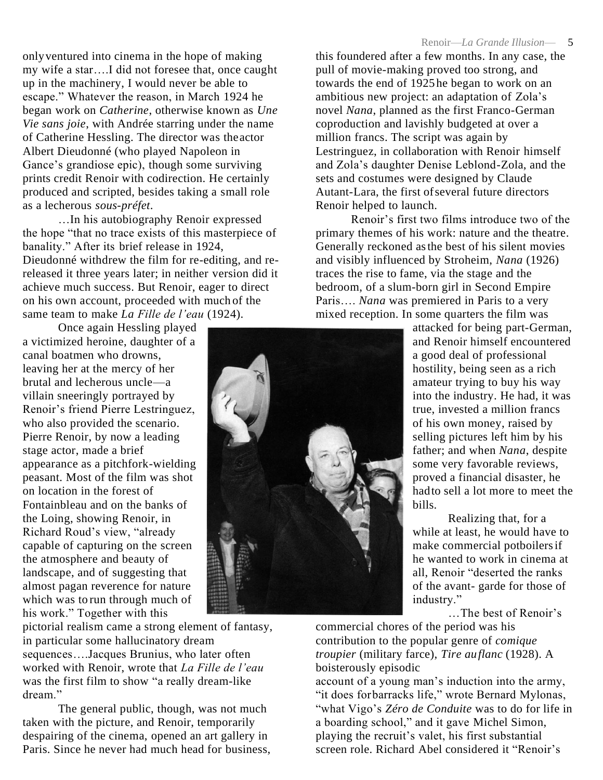onlyventured into cinema in the hope of making my wife a star….I did not foresee that, once caught up in the machinery, I would never be able to escape." Whatever the reason, in March 1924 he began work on *Catherine*, otherwise known as *Une Vie sans joie*, with Andrée starring under the name of Catherine Hessling. The director was theactor Albert Dieudonné (who played Napoleon in Gance's grandiose epic), though some surviving prints credit Renoir with codirection. He certainly produced and scripted, besides taking a small role as a lecherous *sous-préfet*.

…In his autobiography Renoir expressed the hope "that no trace exists of this masterpiece of banality." After its brief release in 1924, Dieudonné withdrew the film for re-editing, and rereleased it three years later; in neither version did it achieve much success. But Renoir, eager to direct on his own account, proceeded with much of the same team to make *La Fille de l'eau* (1924).

Once again Hessling played a victimized heroine, daughter of a canal boatmen who drowns, leaving her at the mercy of her brutal and lecherous uncle—a villain sneeringly portrayed by Renoir's friend Pierre Lestringuez, who also provided the scenario. Pierre Renoir, by now a leading stage actor, made a brief appearance as a pitchfork-wielding peasant. Most of the film was shot on location in the forest of Fontainbleau and on the banks of the Loing, showing Renoir, in Richard Roud's view, "already capable of capturing on the screen the atmosphere and beauty of landscape, and of suggesting that almost pagan reverence for nature which was to run through much of his work." Together with this

pictorial realism came a strong element of fantasy, in particular some hallucinatory dream sequences….Jacques Brunius, who later often

worked with Renoir, wrote that *La Fille de l'eau*  was the first film to show "a really dream-like dream."

The general public, though, was not much taken with the picture, and Renoir, temporarily despairing of the cinema, opened an art gallery in Paris. Since he never had much head for business,



this foundered after a few months. In any case, the pull of movie-making proved too strong, and towards the end of 1925 he began to work on an ambitious new project: an adaptation of Zola's novel *Nana*, planned as the first Franco-German coproduction and lavishly budgeted at over a million francs. The script was again by Lestringuez, in collaboration with Renoir himself and Zola's daughter Denise Leblond-Zola, and the sets and costumes were designed by Claude Autant-Lara, the first ofseveral future directors Renoir helped to launch.

Renoir's first two films introduce two of the primary themes of his work: nature and the theatre. Generally reckoned asthe best of his silent movies and visibly influenced by Stroheim, *Nana* (1926) traces the rise to fame, via the stage and the bedroom, of a slum-born girl in Second Empire Paris…. *Nana* was premiered in Paris to a very mixed reception. In some quarters the film was

> attacked for being part-German, and Renoir himself encountered a good deal of professional hostility, being seen as a rich amateur trying to buy his way into the industry. He had, it was true, invested a million francs of his own money, raised by selling pictures left him by his father; and when *Nana*, despite some very favorable reviews, proved a financial disaster, he hadto sell a lot more to meet the

Realizing that, for a while at least, he would have to make commercial potboilersif he wanted to work in cinema at all, Renoir "deserted the ranks of the avant- garde for those of industry."

…The best of Renoir's

commercial chores of the period was his contribution to the popular genre of *comique troupier* (military farce), *Tire auflanc* (1928). A boisterously episodic

account of a young man's induction into the army, "it does forbarracks life," wrote Bernard Mylonas, "what Vigo's *Zéro de Conduite* was to do for life in a boarding school," and it gave Michel Simon, playing the recruit's valet, his first substantial screen role. Richard Abel considered it "Renoir's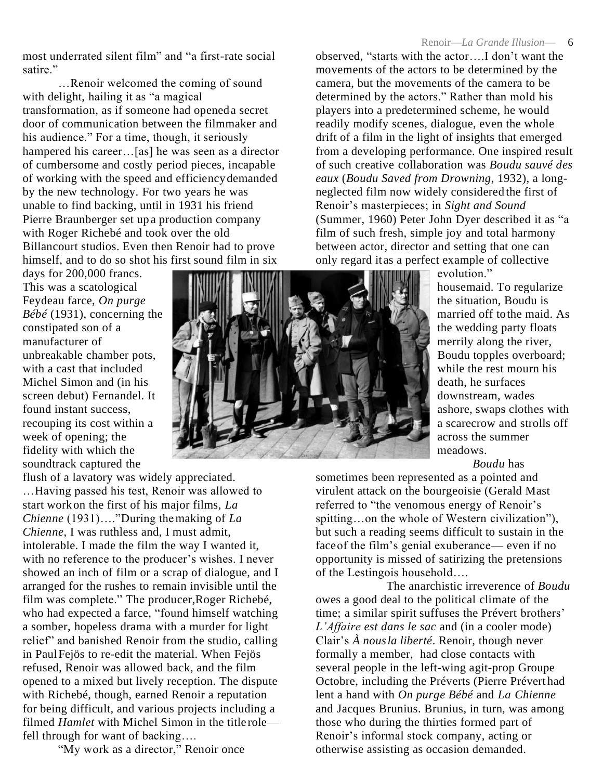most underrated silent film" and "a first-rate social satire."

…Renoir welcomed the coming of sound with delight, hailing it as "a magical transformation, as if someone had openeda secret door of communication between the filmmaker and his audience." For a time, though, it seriously hampered his career…[as] he was seen as a director of cumbersome and costly period pieces, incapable of working with the speed and efficiencydemanded by the new technology. For two years he was unable to find backing, until in 1931 his friend Pierre Braunberger set up a production company with Roger Richebé and took over the old Billancourt studios. Even then Renoir had to prove himself, and to do so shot his first sound film in six

days for 200,000 francs. This was a scatological Feydeau farce, *On purge Bébé* (1931), concerning the constipated son of a manufacturer of unbreakable chamber pots, with a cast that included Michel Simon and (in his screen debut) Fernandel. It found instant success, recouping its cost within a week of opening; the fidelity with which the soundtrack captured the

flush of a lavatory was widely appreciated. …Having passed his test, Renoir was allowed to start workon the first of his major films, *La Chienne* (1931)…."During themaking of *La Chienne*, I was ruthless and, I must admit, intolerable. I made the film the way I wanted it, with no reference to the producer's wishes. I never showed an inch of film or a scrap of dialogue, and I arranged for the rushes to remain invisible until the film was complete." The producer,Roger Richebé, who had expected a farce, "found himself watching a somber, hopeless drama with a murder for light relief" and banished Renoir from the studio, calling in PaulFejös to re-edit the material. When Fejös refused, Renoir was allowed back, and the film opened to a mixed but lively reception. The dispute with Richebé, though, earned Renoir a reputation for being difficult, and various projects including a filmed *Hamlet* with Michel Simon in the title role fell through for want of backing….

"My work as a director," Renoir once



observed, "starts with the actor….I don't want the movements of the actors to be determined by the camera, but the movements of the camera to be determined by the actors." Rather than mold his players into a predetermined scheme, he would readily modify scenes, dialogue, even the whole drift of a film in the light of insights that emerged from a developing performance. One inspired result of such creative collaboration was *Boudu sauvé des eaux* (*Boudu Saved from Drowning*, 1932), a longneglected film now widely considered the first of Renoir's masterpieces; in *Sight and Sound*  (Summer, 1960) Peter John Dyer described it as "a film of such fresh, simple joy and total harmony between actor, director and setting that one can only regard it as a perfect example of collective evolution."

> housemaid. To regularize the situation, Boudu is married off tothe maid. As the wedding party floats merrily along the river, Boudu topples overboard;

> while the rest mourn his death, he surfaces downstream, wades ashore, swaps clothes with a scarecrow and strolls off across the summer meadows.

> > *Boudu* has

sometimes been represented as a pointed and virulent attack on the bourgeoisie (Gerald Mast referred to "the venomous energy of Renoir's spitting…on the whole of Western civilization"), but such a reading seems difficult to sustain in the faceof the film's genial exuberance— even if no opportunity is missed of satirizing the pretensions of the Lestingois household….

The anarchistic irreverence of *Boudu* owes a good deal to the political climate of the time; a similar spirit suffuses the Prévert brothers' *L'Affaire est dans le sac* and (in a cooler mode) Clair's *À nousla liberté*. Renoir, though never formally a member, had close contacts with several people in the left-wing agit-prop Groupe Octobre, including the Préverts (Pierre Prévert had lent a hand with *On purge Bébé* and *La Chienne* and Jacques Brunius. Brunius, in turn, was among those who during the thirties formed part of Renoir's informal stock company, acting or otherwise assisting as occasion demanded.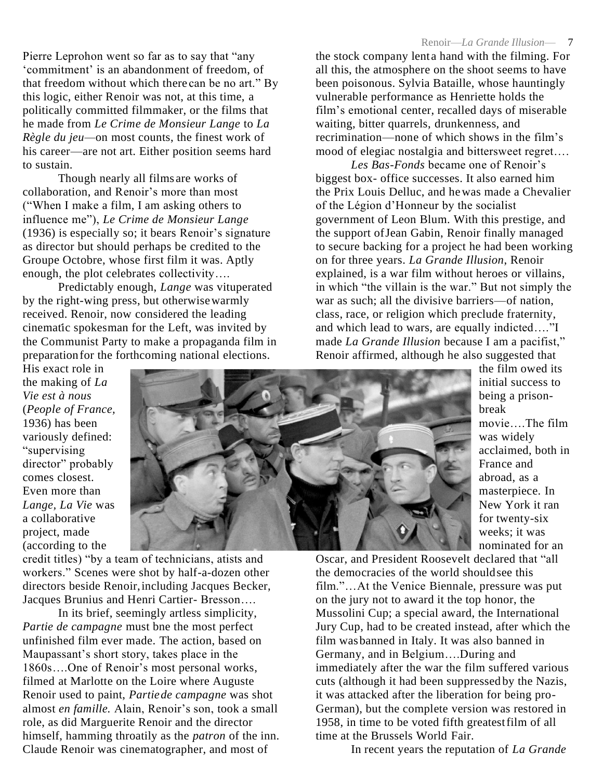Pierre Leprohon went so far as to say that "any 'commitment' is an abandonment of freedom, of that freedom without which there can be no art." By this logic, either Renoir was not, at this time, a politically committed filmmaker, or the films that he made from *Le Crime de Monsieur Lange* to *La Règle du jeu—*on most counts, the finest work of his career—are not art. Either position seems hard to sustain.

Though nearly all films are works of collaboration, and Renoir's more than most ("When I make a film, I am asking others to influence me"), *Le Crime de Monsieur Lange* (1936) is especially so; it bears Renoir's signature as director but should perhaps be credited to the Groupe Octobre, whose first film it was. Aptly enough, the plot celebrates collectivity….

Predictably enough, *Lange* was vituperated by the right-wing press, but otherwisewarmly received. Renoir, now considered the leading cinematic spokesman for the Left, was invited by the Communist Party to make a propaganda film in preparationfor the forthcoming national elections.

the stock company lent a hand with the filming. For all this, the atmosphere on the shoot seems to have been poisonous. Sylvia Bataille, whose hauntingly vulnerable performance as Henriette holds the film's emotional center, recalled days of miserable waiting, bitter quarrels, drunkenness, and recrimination—none of which shows in the film's mood of elegiac nostalgia and bittersweet regret….

*Les Bas-Fonds* became one of Renoir's biggest box- office successes. It also earned him the Prix Louis Delluc, and hewas made a Chevalier of the Légion d'Honneur by the socialist government of Leon Blum. With this prestige, and the support ofJean Gabin, Renoir finally managed to secure backing for a project he had been working on for three years. *La Grande Illusion*, Renoir explained, is a war film without heroes or villains, in which "the villain is the war." But not simply the war as such; all the divisive barriers—of nation, class, race, or religion which preclude fraternity, and which lead to wars, are equally indicted…."I made *La Grande Illusion* because I am a pacifist," Renoir affirmed, although he also suggested that

His exact role in the making of *La Vie est à nous* (*People of France,* 1936) has been variously defined: "supervising director" probably comes closest. Even more than *Lange, La Vie* was a collaborative project, made (according to the



credit titles) "by a team of technicians, atists and workers." Scenes were shot by half-a-dozen other directors beside Renoir,including Jacques Becker, Jacques Brunius and Henri Cartier- Bresson….

In its brief, seemingly artless simplicity, *Partie de campagne* must bne the most perfect unfinished film ever made. The action, based on Maupassant's short story, takes place in the 1860s….One of Renoir's most personal works, filmed at Marlotte on the Loire where Auguste Renoir used to paint, *Partiede campagne* was shot almost *en famille.* Alain, Renoir's son, took a small role, as did Marguerite Renoir and the director himself, hamming throatily as the *patron* of the inn. Claude Renoir was cinematographer, and most of

the film owed its initial success to being a prisonbreak movie….The film was widely acclaimed, both in France and abroad, as a masterpiece. In New York it ran for twenty-six weeks; it was nominated for an

Oscar, and President Roosevelt declared that "all the democracies of the world shouldsee this film."…At the Venice Biennale, pressure was put on the jury not to award it the top honor, the Mussolini Cup; a special award, the International Jury Cup, had to be created instead, after which the film wasbanned in Italy. It was also banned in Germany, and in Belgium….During and immediately after the war the film suffered various cuts (although it had been suppressed by the Nazis, it was attacked after the liberation for being pro-German), but the complete version was restored in 1958, in time to be voted fifth greatestfilm of all time at the Brussels World Fair.

In recent years the reputation of *La Grande*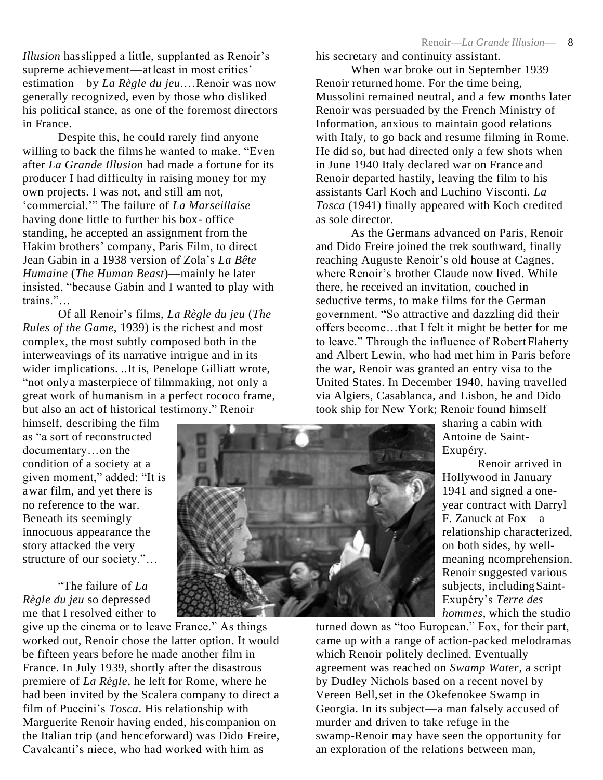*Illusion* hasslipped a little, supplanted as Renoir's supreme achievement—atleast in most critics' estimation—by *La Règle du jeu*.…Renoir was now generally recognized, even by those who disliked his political stance, as one of the foremost directors in France.

Despite this, he could rarely find anyone willing to back the films he wanted to make. "Even after *La Grande Illusion* had made a fortune for its producer I had difficulty in raising money for my own projects. I was not, and still am not, 'commercial.'" The failure of *La Marseillaise*  having done little to further his box- office standing, he accepted an assignment from the Hakim brothers' company, Paris Film, to direct Jean Gabin in a 1938 version of Zola's *La Bête Humaine* (*The Human Beast*)—mainly he later insisted, "because Gabin and I wanted to play with trains."…

Of all Renoir's films, *La Règle du jeu* (*The Rules of the Game*, 1939) is the richest and most complex, the most subtly composed both in the interweavings of its narrative intrigue and in its wider implications. ..It is, Penelope Gilliatt wrote, "not onlya masterpiece of filmmaking, not only a great work of humanism in a perfect rococo frame, but also an act of historical testimony." Renoir

himself, describing the film as "a sort of reconstructed documentary…on the condition of a society at a given moment," added: "It is awar film, and yet there is no reference to the war. Beneath its seemingly innocuous appearance the

story attacked the very structure of our society."…

"The failure of *La Règle du jeu* so depressed me that I resolved either to

give up the cinema or to leave France." As things worked out, Renoir chose the latter option. It would be fifteen years before he made another film in France. In July 1939, shortly after the disastrous premiere of *La Règle*, he left for Rome, where he had been invited by the Scalera company to direct a film of Puccini's *Tosca*. His relationship with Marguerite Renoir having ended, his companion on the Italian trip (and henceforward) was Dido Freire, Cavalcanti's niece, who had worked with him as

his secretary and continuity assistant.

When war broke out in September 1939 Renoir returnedhome. For the time being, Mussolini remained neutral, and a few months later Renoir was persuaded by the French Ministry of Information, anxious to maintain good relations with Italy, to go back and resume filming in Rome. He did so, but had directed only a few shots when in June 1940 Italy declared war on France and Renoir departed hastily, leaving the film to his assistants Carl Koch and Luchino Visconti. *La Tosca* (1941) finally appeared with Koch credited as sole director.

As the Germans advanced on Paris, Renoir and Dido Freire joined the trek southward, finally reaching Auguste Renoir's old house at Cagnes, where Renoir's brother Claude now lived. While there, he received an invitation, couched in seductive terms, to make films for the German government. "So attractive and dazzling did their offers become…that I felt it might be better for me to leave." Through the influence of Robert Flaherty and Albert Lewin, who had met him in Paris before the war, Renoir was granted an entry visa to the United States. In December 1940, having travelled via Algiers, Casablanca, and Lisbon, he and Dido took ship for New York; Renoir found himself



Renoir arrived in Hollywood in January 1941 and signed a oneyear contract with Darryl F. Zanuck at Fox—a relationship characterized, on both sides, by wellmeaning ncomprehension. Renoir suggested various subjects, including Saint-Exupéry's *Terre des hommes*, which the studio

turned down as "too European." Fox, for their part, came up with a range of action-packed melodramas which Renoir politely declined. Eventually agreement was reached on *Swamp Water*, a script by Dudley Nichols based on a recent novel by Vereen Bell,set in the Okefenokee Swamp in Georgia. In its subject—a man falsely accused of murder and driven to take refuge in the swamp-Renoir may have seen the opportunity for an exploration of the relations between man,

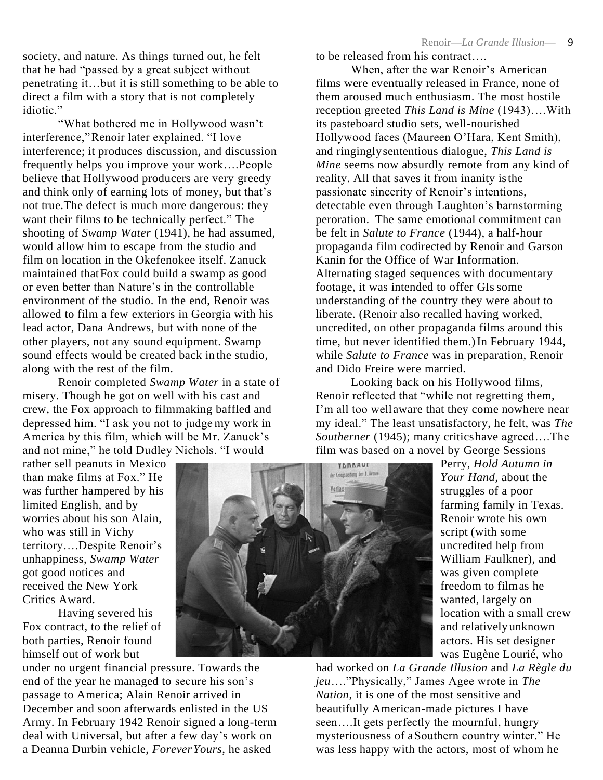society, and nature. As things turned out, he felt that he had "passed by a great subject without penetrating it…but it is still something to be able to direct a film with a story that is not completely idiotic."

"What bothered me in Hollywood wasn't interference,"Renoir later explained. "I love interference; it produces discussion, and discussion frequently helps you improve your work….People believe that Hollywood producers are very greedy and think only of earning lots of money, but that's not true.The defect is much more dangerous: they want their films to be technically perfect." The shooting of *Swamp Water* (1941), he had assumed, would allow him to escape from the studio and film on location in the Okefenokee itself. Zanuck maintained thatFox could build a swamp as good or even better than Nature's in the controllable environment of the studio. In the end, Renoir was allowed to film a few exteriors in Georgia with his lead actor, Dana Andrews, but with none of the other players, not any sound equipment. Swamp sound effects would be created back in the studio, along with the rest of the film.

Renoir completed *Swamp Water* in a state of misery. Though he got on well with his cast and crew, the Fox approach to filmmaking baffled and depressed him. "I ask you not to judge my work in America by this film, which will be Mr. Zanuck's and not mine," he told Dudley Nichols. "I would

rather sell peanuts in Mexico than make films at Fox." He was further hampered by his limited English, and by worries about his son Alain, who was still in Vichy territory….Despite Renoir's unhappiness, *Swamp Water*  got good notices and received the New York Critics Award.

Having severed his Fox contract, to the relief of both parties, Renoir found himself out of work but

under no urgent financial pressure. Towards the end of the year he managed to secure his son's passage to America; Alain Renoir arrived in December and soon afterwards enlisted in the US Army. In February 1942 Renoir signed a long-term deal with Universal, but after a few day's work on a Deanna Durbin vehicle, *ForeverYours*, he asked

to be released from his contract….

When, after the war Renoir's American films were eventually released in France, none of them aroused much enthusiasm. The most hostile reception greeted *This Land is Mine* (1943)….With its pasteboard studio sets, well-nourished Hollywood faces (Maureen O'Hara, Kent Smith), and ringinglysententious dialogue, *This Land is Mine* seems now absurdly remote from any kind of reality. All that saves it from inanity isthe passionate sincerity of Renoir's intentions, detectable even through Laughton's barnstorming peroration. The same emotional commitment can be felt in *Salute to France* (1944), a half-hour propaganda film codirected by Renoir and Garson Kanin for the Office of War Information. Alternating staged sequences with documentary footage, it was intended to offer GIssome understanding of the country they were about to liberate. (Renoir also recalled having worked, uncredited, on other propaganda films around this time, but never identified them.)In February 1944, while *Salute to France* was in preparation, Renoir and Dido Freire were married.

Looking back on his Hollywood films, Renoir reflected that "while not regretting them, I'm all too well aware that they come nowhere near my ideal." The least unsatisfactory, he felt, was *The Southerner* (1945); many criticshave agreed….The film was based on a novel by George Sessions



Perry, *Hold Autumn in Your Hand,* about the struggles of a poor farming family in Texas. Renoir wrote his own script (with some uncredited help from William Faulkner), and was given complete freedom to filmas he wanted, largely on location with a small crew and relativelyunknown actors. His set designer was Eugène Lourié, who

had worked on *La Grande Illusion* and *La Règle du jeu*…."Physically," James Agee wrote in *The Nation*, it is one of the most sensitive and beautifully American-made pictures I have seen….It gets perfectly the mournful, hungry mysteriousness of aSouthern country winter." He was less happy with the actors, most of whom he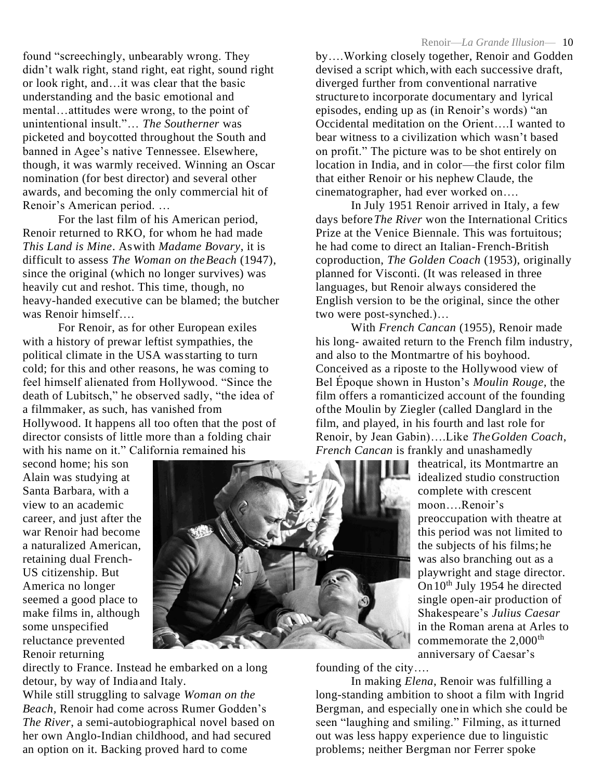### Renoir—*La Grande Illusion*— 10

found "screechingly, unbearably wrong. They didn't walk right, stand right, eat right, sound right or look right, and…it was clear that the basic understanding and the basic emotional and mental…attitudes were wrong, to the point of unintentional insult."… *The Southerner* was picketed and boycotted throughout the South and banned in Agee's native Tennessee. Elsewhere, though, it was warmly received. Winning an Oscar nomination (for best director) and several other awards, and becoming the only commercial hit of Renoir's American period. …

For the last film of his American period, Renoir returned to RKO, for whom he had made *This Land is Mine*. Aswith *Madame Bovary*, it is difficult to assess *The Woman on theBeach* (1947), since the original (which no longer survives) was heavily cut and reshot. This time, though, no heavy-handed executive can be blamed; the butcher was Renoir himself….

For Renoir, as for other European exiles with a history of prewar leftist sympathies, the political climate in the USA wasstarting to turn cold; for this and other reasons, he was coming to feel himself alienated from Hollywood. "Since the death of Lubitsch," he observed sadly, "the idea of a filmmaker, as such, has vanished from Hollywood. It happens all too often that the post of director consists of little more than a folding chair with his name on it." California remained his

second home; his son Alain was studying at Santa Barbara, with a view to an academic career, and just after the war Renoir had become a naturalized American, retaining dual French-US citizenship. But America no longer seemed a good place to make films in, although some unspecified reluctance prevented Renoir returning



directly to France. Instead he embarked on a long detour, by way of India and Italy.

While still struggling to salvage *Woman on the Beach,* Renoir had come across Rumer Godden's *The River*, a semi-autobiographical novel based on her own Anglo-Indian childhood, and had secured an option on it. Backing proved hard to come

by….Working closely together, Renoir and Godden devised a script which,with each successive draft, diverged further from conventional narrative structureto incorporate documentary and lyrical episodes, ending up as (in Renoir's words) "an Occidental meditation on the Orient….I wanted to bear witness to a civilization which wasn't based on profit." The picture was to be shot entirely on location in India, and in color—the first color film that either Renoir or his nephew Claude, the cinematographer, had ever worked on….

In July 1951 Renoir arrived in Italy, a few days before*The River* won the International Critics Prize at the Venice Biennale. This was fortuitous; he had come to direct an Italian-French-British coproduction, *The Golden Coach* (1953), originally planned for Visconti. (It was released in three languages, but Renoir always considered the English version to be the original, since the other two were post-synched.)…

With *French Cancan* (1955), Renoir made his long- awaited return to the French film industry, and also to the Montmartre of his boyhood. Conceived as a riposte to the Hollywood view of Bel Époque shown in Huston's *Moulin Rouge,* the film offers a romanticized account of the founding ofthe Moulin by Ziegler (called Danglard in the film, and played, in his fourth and last role for Renoir, by Jean Gabin)….Like *TheGolden Coach*, *French Cancan* is frankly and unashamedly

theatrical, its Montmartre an idealized studio construction complete with crescent moon….Renoir's preoccupation with theatre at this period was not limited to the subjects of his films;he was also branching out as a playwright and stage director. On  $10^{th}$  July 1954 he directed single open-air production of Shakespeare's *Julius Caesar* in the Roman arena at Arles to commemorate the 2,000<sup>th</sup> anniversary of Caesar's

founding of the city….

In making *Elena*, Renoir was fulfilling a long-standing ambition to shoot a film with Ingrid Bergman, and especially one in which she could be seen "laughing and smiling." Filming, as itturned out was less happy experience due to linguistic problems; neither Bergman nor Ferrer spoke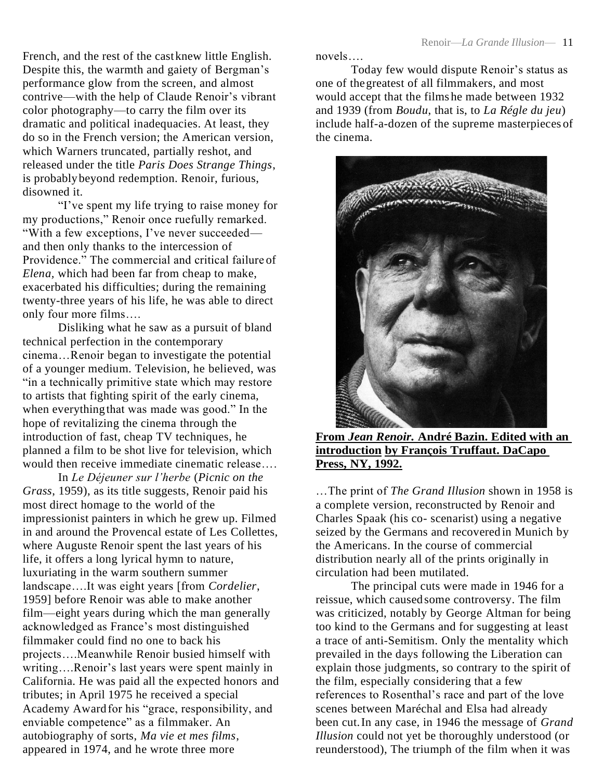French, and the rest of the castknew little English. Despite this, the warmth and gaiety of Bergman's performance glow from the screen, and almost contrive—with the help of Claude Renoir's vibrant color photography—to carry the film over its dramatic and political inadequacies. At least, they do so in the French version; the American version, which Warners truncated, partially reshot, and released under the title *Paris Does Strange Things*, is probablybeyond redemption. Renoir, furious, disowned it.

"I've spent my life trying to raise money for my productions," Renoir once ruefully remarked. "With a few exceptions, I've never succeeded and then only thanks to the intercession of Providence." The commercial and critical failure of *Elena,* which had been far from cheap to make, exacerbated his difficulties; during the remaining twenty-three years of his life, he was able to direct only four more films….

Disliking what he saw as a pursuit of bland technical perfection in the contemporary cinema…Renoir began to investigate the potential of a younger medium. Television, he believed, was "in a technically primitive state which may restore to artists that fighting spirit of the early cinema, when everything that was made was good." In the hope of revitalizing the cinema through the introduction of fast, cheap TV techniques, he planned a film to be shot live for television, which would then receive immediate cinematic release….

In *Le Déjeuner sur l'herbe* (*Picnic on the Grass*, 1959), as its title suggests, Renoir paid his most direct homage to the world of the impressionist painters in which he grew up. Filmed in and around the Provencal estate of Les Collettes, where Auguste Renoir spent the last years of his life, it offers a long lyrical hymn to nature, luxuriating in the warm southern summer landscape….It was eight years [from *Cordelier*, 1959] before Renoir was able to make another film—eight years during which the man generally acknowledged as France's most distinguished filmmaker could find no one to back his projects….Meanwhile Renoir busied himself with writing….Renoir's last years were spent mainly in California. He was paid all the expected honors and tributes; in April 1975 he received a special Academy Awardfor his "grace, responsibility, and enviable competence" as a filmmaker. An autobiography of sorts, *Ma vie et mes films*, appeared in 1974, and he wrote three more

novels….

Today few would dispute Renoir's status as one of thegreatest of all filmmakers, and most would accept that the films he made between 1932 and 1939 (from *Boudu*, that is, to *La Régle du jeu*) include half-a-dozen of the supreme masterpieces of the cinema.



**From** *Jean Renoir.* **André Bazin. Edited with an introduction by François Truffaut. DaCapo Press, NY, 1992.**

…The print of *The Grand Illusion* shown in 1958 is a complete version, reconstructed by Renoir and Charles Spaak (his co- scenarist) using a negative seized by the Germans and recovered in Munich by the Americans. In the course of commercial distribution nearly all of the prints originally in circulation had been mutilated.

The principal cuts were made in 1946 for a reissue, which caused some controversy. The film was criticized, notably by George Altman for being too kind to the Germans and for suggesting at least a trace of anti-Semitism. Only the mentality which prevailed in the days following the Liberation can explain those judgments, so contrary to the spirit of the film, especially considering that a few references to Rosenthal's race and part of the love scenes between Maréchal and Elsa had already been cut.In any case, in 1946 the message of *Grand Illusion* could not yet be thoroughly understood (or reunderstood), The triumph of the film when it was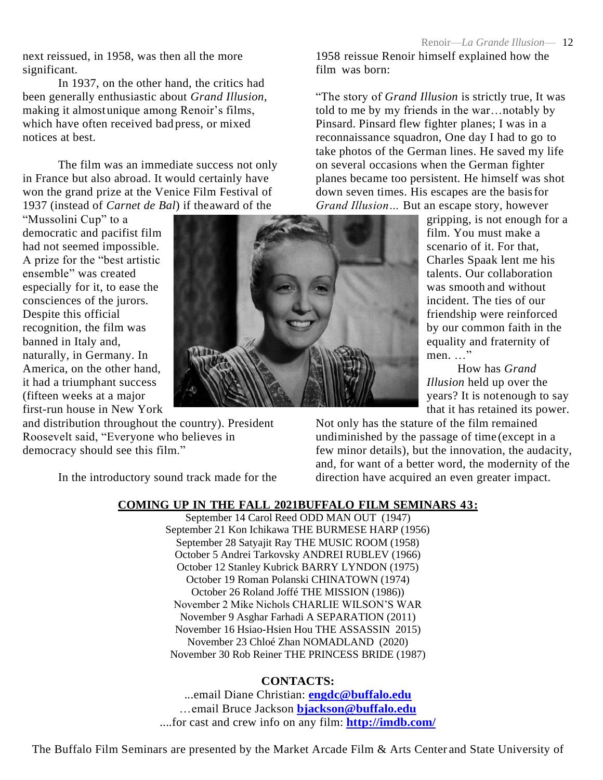next reissued, in 1958, was then all the more significant.

In 1937, on the other hand, the critics had been generally enthusiastic about *Grand Illusion*, making it almostunique among Renoir's films, which have often received bad press, or mixed notices at best.

The film was an immediate success not only in France but also abroad. It would certainly have won the grand prize at the Venice Film Festival of 1937 (instead of *Carnet de Bal*) if theaward of the

"Mussolini Cup" to a democratic and pacifist film had not seemed impossible. A prize for the "best artistic ensemble" was created especially for it, to ease the consciences of the jurors. Despite this official recognition, the film was banned in Italy and, naturally, in Germany. In America, on the other hand, it had a triumphant success (fifteen weeks at a major first-run house in New York

and distribution throughout the country). President Roosevelt said, "Everyone who believes in democracy should see this film."

In the introductory sound track made for the

1958 reissue Renoir himself explained how the film was born:

"The story of *Grand Illusion* is strictly true, It was told to me by my friends in the war…notably by Pinsard. Pinsard flew fighter planes; I was in a reconnaissance squadron, One day I had to go to take photos of the German lines. He saved my life on several occasions when the German fighter planes became too persistent. He himself was shot down seven times. His escapes are the basisfor *Grand Illusion…* But an escape story, however

gripping, is not enough for a film. You must make a scenario of it. For that, Charles Spaak lent me his talents. Our collaboration was smooth and without incident. The ties of our friendship were reinforced by our common faith in the equality and fraternity of men. …"

How has *Grand Illusion* held up over the years? It is notenough to say that it has retained its power.

Not only has the stature of the film remained undiminished by the passage of time (except in a few minor details), but the innovation, the audacity, and, for want of a better word, the modernity of the direction have acquired an even greater impact.

# **COMING UP IN THE FALL 2021BUFFALO FILM SEMINARS 43:**

September 14 Carol Reed ODD MAN OUT (1947) September 21 Kon Ichikawa THE BURMESE HARP (1956) September 28 Satyajit Ray THE MUSIC ROOM (1958) October 5 Andrei Tarkovsky ANDREI RUBLEV (1966) October 12 Stanley Kubrick BARRY LYNDON (1975) October 19 Roman Polanski CHINATOWN (1974) October 26 Roland Joffé THE MISSION (1986)) November 2 Mike Nichols CHARLIE WILSON'S WAR November 9 Asghar Farhadi A SEPARATION (2011) November 16 Hsiao-Hsien Hou THE ASSASSIN 2015) November 23 Chloé Zhan NOMADLAND (2020) November 30 Rob Reiner THE PRINCESS BRIDE (1987)

# **CONTACTS:**

...email Diane Christian: **[engdc@buffalo.edu](mailto:engdc@buffalo.edu)** …email Bruce Jackson **[bjackson@buffalo.edu](mailto:bjackson@buffalo.edu)** ....for cast and crew info on any film: **<http://imdb.com/>**